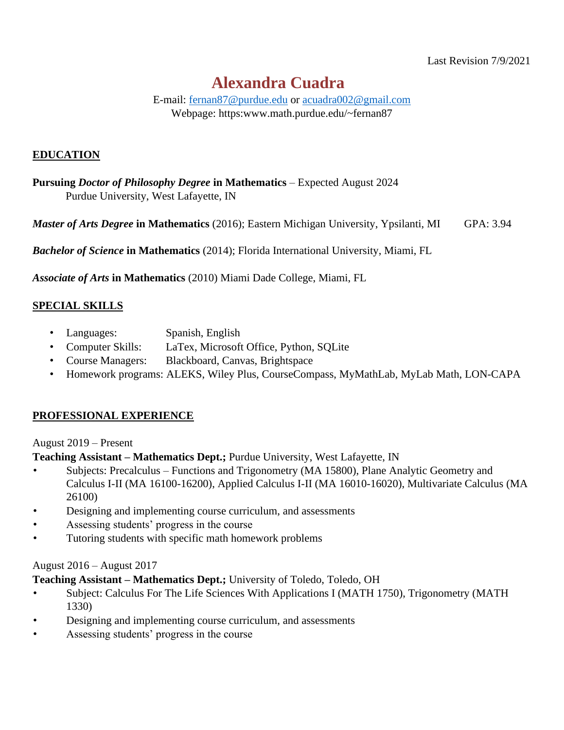# **Alexandra Cuadra**

E-mail: [fernan87@purdue.edu](mailto:fernan87@purdue.edu) or [acuadra002@gmail.com](mailto:acuadra002@gmail.com)

Webpage: https:www.math.purdue.edu/~fernan87

#### **EDUCATION**

**Pursuing** *Doctor of Philosophy Degree* **in Mathematics** – Expected August 2024 Purdue University, West Lafayette, IN

*Master of Arts Degree* **in Mathematics** (2016); Eastern Michigan University, Ypsilanti, MI GPA: 3.94

*Bachelor of Science* **in Mathematics** (2014); Florida International University, Miami, FL

*Associate of Arts* **in Mathematics** (2010) Miami Dade College, Miami, FL

# **SPECIAL SKILLS**

- Languages: Spanish, English
- Computer Skills: LaTex, Microsoft Office, Python, SQLite
- Course Managers: Blackboard, Canvas, Brightspace
- Homework programs: ALEKS, Wiley Plus, CourseCompass, MyMathLab, MyLab Math, LON-CAPA

#### **PROFESSIONAL EXPERIENCE**

#### August 2019 – Present

**Teaching Assistant – Mathematics Dept.;** Purdue University, West Lafayette, IN

- Subjects: Precalculus Functions and Trigonometry (MA 15800), Plane Analytic Geometry and Calculus I-II (MA 16100-16200), Applied Calculus I-II (MA 16010-16020), Multivariate Calculus (MA 26100)
- Designing and implementing course curriculum, and assessments
- Assessing students' progress in the course
- Tutoring students with specific math homework problems

#### August 2016 – August 2017

**Teaching Assistant – Mathematics Dept.;** University of Toledo, Toledo, OH

- Subject: Calculus For The Life Sciences With Applications I (MATH 1750), Trigonometry (MATH 1330)
- Designing and implementing course curriculum, and assessments
- Assessing students' progress in the course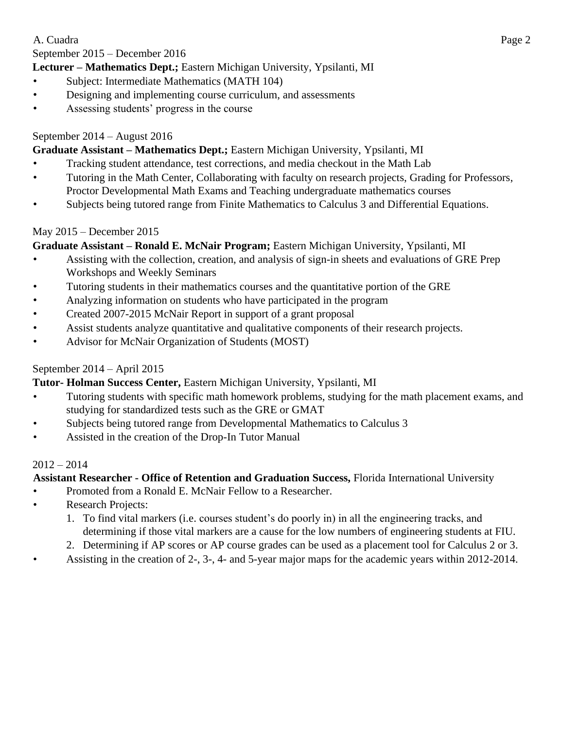#### September 2015 – December 2016

# **Lecturer – Mathematics Dept.;** Eastern Michigan University, Ypsilanti, MI

- Subject: Intermediate Mathematics (MATH 104)
- Designing and implementing course curriculum, and assessments
- Assessing students' progress in the course

# September 2014 – August 2016

#### **Graduate Assistant – Mathematics Dept.;** Eastern Michigan University, Ypsilanti, MI

- Tracking student attendance, test corrections, and media checkout in the Math Lab
- Tutoring in the Math Center, Collaborating with faculty on research projects, Grading for Professors, Proctor Developmental Math Exams and Teaching undergraduate mathematics courses
- Subjects being tutored range from Finite Mathematics to Calculus 3 and Differential Equations.

#### May 2015 – December 2015

# **Graduate Assistant – Ronald E. McNair Program;** Eastern Michigan University, Ypsilanti, MI

- Assisting with the collection, creation, and analysis of sign-in sheets and evaluations of GRE Prep Workshops and Weekly Seminars
- Tutoring students in their mathematics courses and the quantitative portion of the GRE
- Analyzing information on students who have participated in the program
- Created 2007-2015 McNair Report in support of a grant proposal
- Assist students analyze quantitative and qualitative components of their research projects.
- Advisor for McNair Organization of Students (MOST)

## September 2014 – April 2015

#### **Tutor- Holman Success Center,** Eastern Michigan University, Ypsilanti, MI

- Tutoring students with specific math homework problems, studying for the math placement exams, and studying for standardized tests such as the GRE or GMAT
- Subjects being tutored range from Developmental Mathematics to Calculus 3
- Assisted in the creation of the Drop-In Tutor Manual

#### $2012 - 2014$

# **Assistant Researcher - Office of Retention and Graduation Success,** Florida International University

- Promoted from a Ronald E. McNair Fellow to a Researcher.
- Research Projects:
	- 1. To find vital markers (i.e. courses student's do poorly in) in all the engineering tracks, and determining if those vital markers are a cause for the low numbers of engineering students at FIU.
	- 2. Determining if AP scores or AP course grades can be used as a placement tool for Calculus 2 or 3.
- Assisting in the creation of 2-, 3-, 4- and 5-year major maps for the academic years within 2012-2014.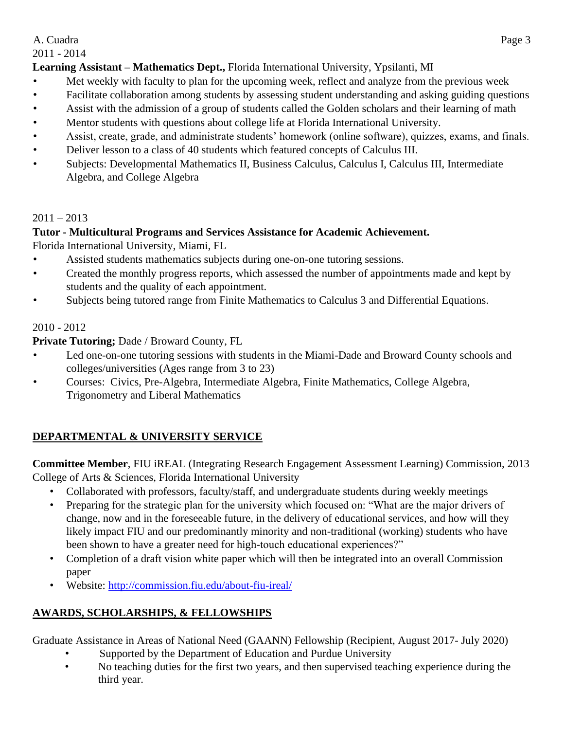2011 - 2014

# **Learning Assistant – Mathematics Dept.,** Florida International University, Ypsilanti, MI

- Met weekly with faculty to plan for the upcoming week, reflect and analyze from the previous week
- Facilitate collaboration among students by assessing student understanding and asking guiding questions
- Assist with the admission of a group of students called the Golden scholars and their learning of math
- Mentor students with questions about college life at Florida International University.
- Assist, create, grade, and administrate students' homework (online software), quizzes, exams, and finals.
- Deliver lesson to a class of 40 students which featured concepts of Calculus III.
- Subjects: Developmental Mathematics II, Business Calculus, Calculus I, Calculus III, Intermediate Algebra, and College Algebra

# $2011 - 2013$

# **Tutor - Multicultural Programs and Services Assistance for Academic Achievement.**

Florida International University, Miami, FL

- Assisted students mathematics subjects during one-on-one tutoring sessions.
- Created the monthly progress reports, which assessed the number of appointments made and kept by students and the quality of each appointment.
- Subjects being tutored range from Finite Mathematics to Calculus 3 and Differential Equations.

# 2010 - 2012

# **Private Tutoring;** Dade / Broward County, FL

- Led one-on-one tutoring sessions with students in the Miami-Dade and Broward County schools and colleges/universities (Ages range from 3 to 23)
- Courses: Civics, Pre-Algebra, Intermediate Algebra, Finite Mathematics, College Algebra, Trigonometry and Liberal Mathematics

# **DEPARTMENTAL & UNIVERSITY SERVICE**

**Committee Member**, FIU iREAL (Integrating Research Engagement Assessment Learning) Commission, 2013 College of Arts & Sciences, Florida International University

- Collaborated with professors, faculty/staff, and undergraduate students during weekly meetings
- Preparing for the strategic plan for the university which focused on: "What are the major drivers of change, now and in the foreseeable future, in the delivery of educational services, and how will they likely impact FIU and our predominantly minority and non-traditional (working) students who have been shown to have a greater need for high-touch educational experiences?"
- Completion of a draft vision white paper which will then be integrated into an overall Commission paper
- Website:<http://commission.fiu.edu/about-fiu-ireal/>

# **AWARDS, SCHOLARSHIPS, & FELLOWSHIPS**

Graduate Assistance in Areas of National Need (GAANN) Fellowship (Recipient, August 2017- July 2020)

- Supported by the Department of Education and Purdue University
- No teaching duties for the first two years, and then supervised teaching experience during the third year.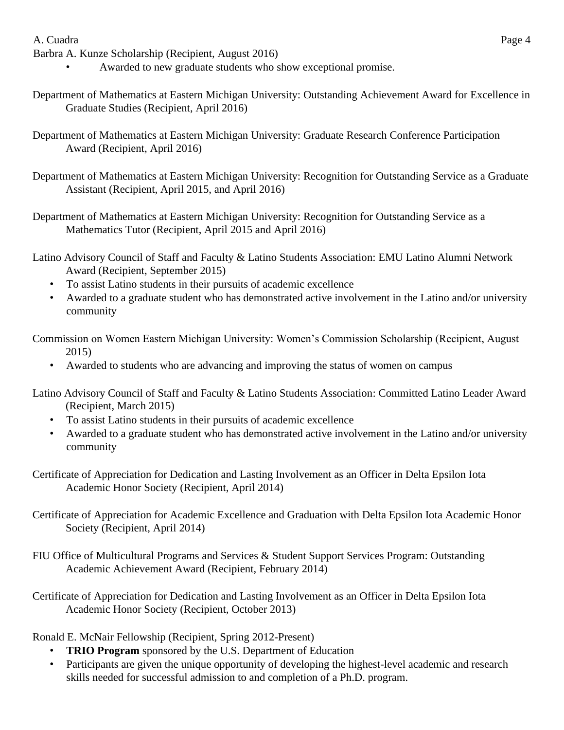Barbra A. Kunze Scholarship (Recipient, August 2016)

- Awarded to new graduate students who show exceptional promise.
- Department of Mathematics at Eastern Michigan University: Outstanding Achievement Award for Excellence in Graduate Studies (Recipient, April 2016)
- Department of Mathematics at Eastern Michigan University: Graduate Research Conference Participation Award (Recipient, April 2016)
- Department of Mathematics at Eastern Michigan University: Recognition for Outstanding Service as a Graduate Assistant (Recipient, April 2015, and April 2016)
- Department of Mathematics at Eastern Michigan University: Recognition for Outstanding Service as a Mathematics Tutor (Recipient, April 2015 and April 2016)
- Latino Advisory Council of Staff and Faculty & Latino Students Association: EMU Latino Alumni Network Award (Recipient, September 2015)
	- To assist Latino students in their pursuits of academic excellence
	- Awarded to a graduate student who has demonstrated active involvement in the Latino and/or university community
- Commission on Women Eastern Michigan University: Women's Commission Scholarship (Recipient, August 2015)
	- Awarded to students who are advancing and improving the status of women on campus
- Latino Advisory Council of Staff and Faculty & Latino Students Association: Committed Latino Leader Award (Recipient, March 2015)
	- To assist Latino students in their pursuits of academic excellence
	- Awarded to a graduate student who has demonstrated active involvement in the Latino and/or university community
- Certificate of Appreciation for Dedication and Lasting Involvement as an Officer in Delta Epsilon Iota Academic Honor Society (Recipient, April 2014)
- Certificate of Appreciation for Academic Excellence and Graduation with Delta Epsilon Iota Academic Honor Society (Recipient, April 2014)
- FIU Office of Multicultural Programs and Services & Student Support Services Program: Outstanding Academic Achievement Award (Recipient, February 2014)
- Certificate of Appreciation for Dedication and Lasting Involvement as an Officer in Delta Epsilon Iota Academic Honor Society (Recipient, October 2013)

Ronald E. McNair Fellowship (Recipient, Spring 2012-Present)

- **TRIO Program** sponsored by the U.S. Department of Education
- Participants are given the unique opportunity of developing the highest-level academic and research skills needed for successful admission to and completion of a Ph.D. program.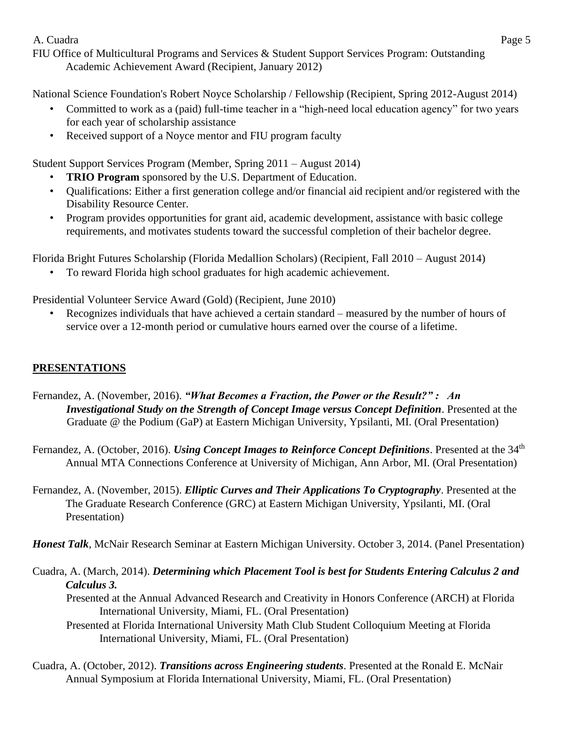FIU Office of Multicultural Programs and Services & Student Support Services Program: Outstanding Academic Achievement Award (Recipient, January 2012)

National Science Foundation's Robert Noyce Scholarship / Fellowship (Recipient, Spring 2012-August 2014)

- Committed to work as a (paid) full-time teacher in a "high-need local education agency" for two years for each year of scholarship assistance
- Received support of a Noyce mentor and FIU program faculty

Student Support Services Program (Member, Spring 2011 – August 2014)

- **TRIO Program** sponsored by the U.S. Department of Education.
- Qualifications: Either a first generation college and/or financial aid recipient and/or registered with the Disability Resource Center.
- Program provides opportunities for grant aid, academic development, assistance with basic college requirements, and motivates students toward the successful completion of their bachelor degree.

Florida Bright Futures Scholarship (Florida Medallion Scholars) (Recipient, Fall 2010 – August 2014)

• To reward Florida high school graduates for high academic achievement.

Presidential Volunteer Service Award (Gold) (Recipient, June 2010)

• Recognizes individuals that have achieved a certain standard – measured by the number of hours of service over a 12-month period or cumulative hours earned over the course of a lifetime.

## **PRESENTATIONS**

- Fernandez, A. (November, 2016). *"What Becomes a Fraction, the Power or the Result?" : An Investigational Study on the Strength of Concept Image versus Concept Definition*. Presented at the Graduate @ the Podium (GaP) at Eastern Michigan University, Ypsilanti, MI. (Oral Presentation)
- Fernandez, A. (October, 2016). *Using Concept Images to Reinforce Concept Definitions*. Presented at the 34<sup>th</sup> Annual MTA Connections Conference at University of Michigan, Ann Arbor, MI. (Oral Presentation)
- Fernandez, A. (November, 2015). *Elliptic Curves and Their Applications To Cryptography*. Presented at the The Graduate Research Conference (GRC) at Eastern Michigan University, Ypsilanti, MI. (Oral Presentation)

*Honest Talk*, McNair Research Seminar at Eastern Michigan University. October 3, 2014. (Panel Presentation)

Cuadra, A. (March, 2014). *Determining which Placement Tool is best for Students Entering Calculus 2 and Calculus 3.*

Presented at the Annual Advanced Research and Creativity in Honors Conference (ARCH) at Florida International University, Miami, FL. (Oral Presentation)

- Presented at Florida International University Math Club Student Colloquium Meeting at Florida International University, Miami, FL. (Oral Presentation)
- Cuadra, A. (October, 2012). *Transitions across Engineering students*. Presented at the Ronald E. McNair Annual Symposium at Florida International University, Miami, FL. (Oral Presentation)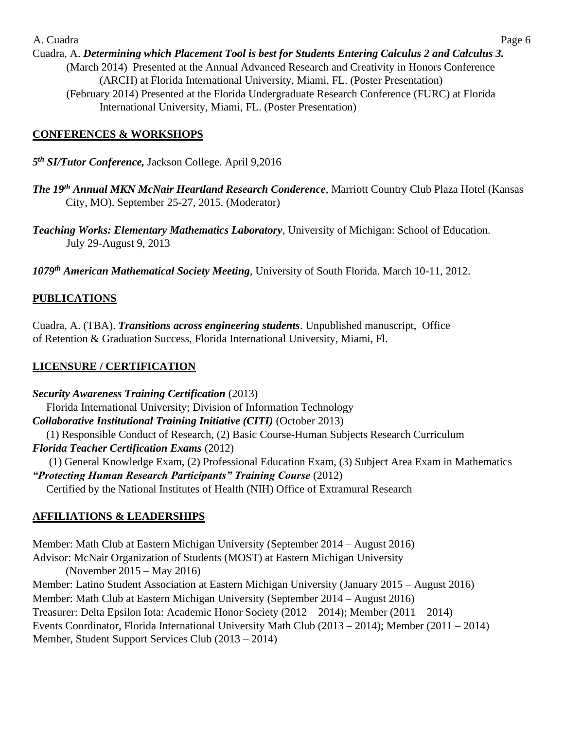Cuadra, A. *Determining which Placement Tool is best for Students Entering Calculus 2 and Calculus 3.* (March 2014) Presented at the Annual Advanced Research and Creativity in Honors Conference (ARCH) at Florida International University, Miami, FL. (Poster Presentation) (February 2014) Presented at the Florida Undergraduate Research Conference (FURC) at Florida International University, Miami, FL. (Poster Presentation)

#### **CONFERENCES & WORKSHOPS**

- *5 th SI/Tutor Conference,* Jackson College. April 9,2016
- *The 19th Annual MKN McNair Heartland Research Conderence*, Marriott Country Club Plaza Hotel (Kansas City, MO). September 25-27, 2015. (Moderator)

*Teaching Works: Elementary Mathematics Laboratory*, University of Michigan: School of Education. July 29-August 9, 2013

*1079th American Mathematical Society Meeting*, University of South Florida. March 10-11, 2012.

# **PUBLICATIONS**

Cuadra, A. (TBA). *Transitions across engineering students*. Unpublished manuscript, Office of Retention & Graduation Success, Florida International University, Miami, Fl.

# **LICENSURE / CERTIFICATION**

*Security Awareness Training Certification* (2013) Florida International University; Division of Information Technology *Collaborative Institutional Training Initiative (CITI)* (October 2013) (1) Responsible Conduct of Research, (2) Basic Course-Human Subjects Research Curriculum *Florida Teacher Certification Exams* (2012) (1) General Knowledge Exam, (2) Professional Education Exam, (3) Subject Area Exam in Mathematics *"Protecting Human Research Participants" Training Course* (2012) Certified by the National Institutes of Health (NIH) Office of Extramural Research

# **AFFILIATIONS & LEADERSHIPS**

Member: Math Club at Eastern Michigan University (September 2014 – August 2016) Advisor: McNair Organization of Students (MOST) at Eastern Michigan University (November 2015 – May 2016) Member: Latino Student Association at Eastern Michigan University (January 2015 – August 2016) Member: Math Club at Eastern Michigan University (September 2014 – August 2016) Treasurer: Delta Epsilon Iota: Academic Honor Society (2012 – 2014); Member (2011 – 2014) Events Coordinator, Florida International University Math Club (2013 – 2014); Member (2011 – 2014) Member, Student Support Services Club (2013 – 2014)